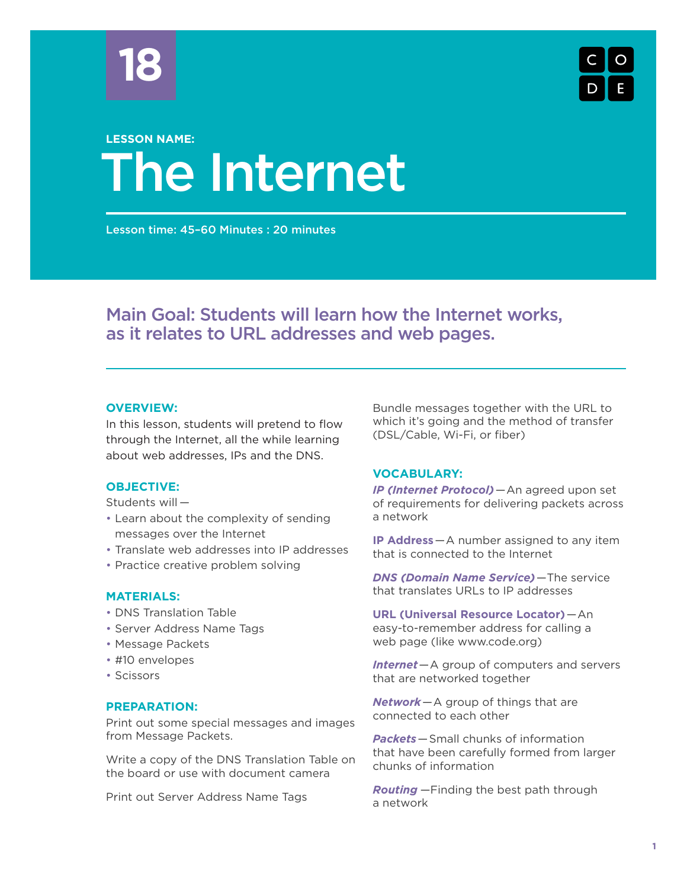



### The Internet **LESSON NAME:**

Lesson time: 45–60 Minutes : 20 minutes

### Main Goal: Students will learn how the Internet works, as it relates to URL addresses and web pages.

### **OVERVIEW:**

In this lesson, students will pretend to flow through the Internet, all the while learning about web addresses, IPs and the DNS.

### **OBJECTIVE:**

Students will —

- Learn about the complexity of sending messages over the Internet
- Translate web addresses into IP addresses
- Practice creative problem solving

### **MATERIALS:**

- DNS Translation Table
- Server Address Name Tags
- Message Packets
- #10 envelopes
- Scissors

### **PREPARATION:**

Print out some special messages and images from Message Packets.

Write a copy of the DNS Translation Table on the board or use with document camera

Print out Server Address Name Tags

Bundle messages together with the URL to which it's going and the method of transfer (DSL/Cable, Wi-Fi, or fiber)

### **VOCABULARY:**

*IP (Internet Protocol)*—An agreed upon set of requirements for delivering packets across a network

**IP Address**—A number assigned to any item that is connected to the Internet

*DNS (Domain Name Service)*—The service that translates URLs to IP addresses

**URL (Universal Resource Locator)**—An easy-to-remember address for calling a web page (like www.code.org)

*Internet*—A group of computers and servers that are networked together

*Network*—A group of things that are connected to each other

*Packets*—Small chunks of information that have been carefully formed from larger chunks of information

*Routing* —Finding the best path through a network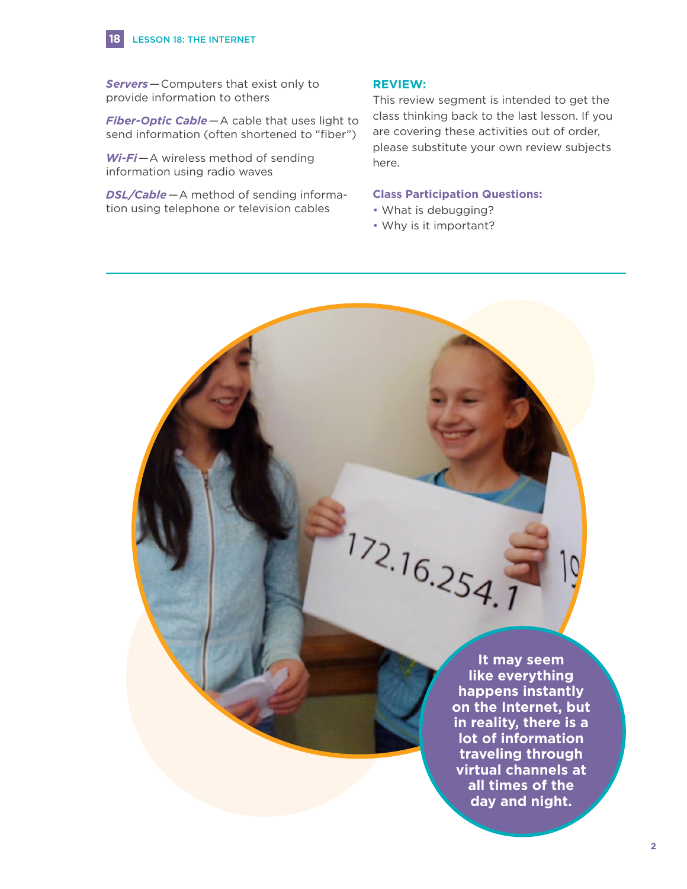### LESSON 18: THE INTERNET

**18**

*Servers*—Computers that exist only to provide information to others

*Fiber-Optic Cable*—A cable that uses light to send information (often shortened to "fiber")

*Wi-Fi*—A wireless method of sending information using radio waves

*DSL/Cable*—A method of sending information using telephone or television cables

### **REVIEW:**

This review segment is intended to get the class thinking back to the last lesson. If you are covering these activities out of order, please substitute your own review subjects here.

### **Class Participation Questions:**

- What is debugging?
- Why is it important?

 $172.16.254.1$ 

**It may seem like everything happens instantly on the Internet, but in reality, there is a lot of information traveling through virtual channels at all times of the day and night.**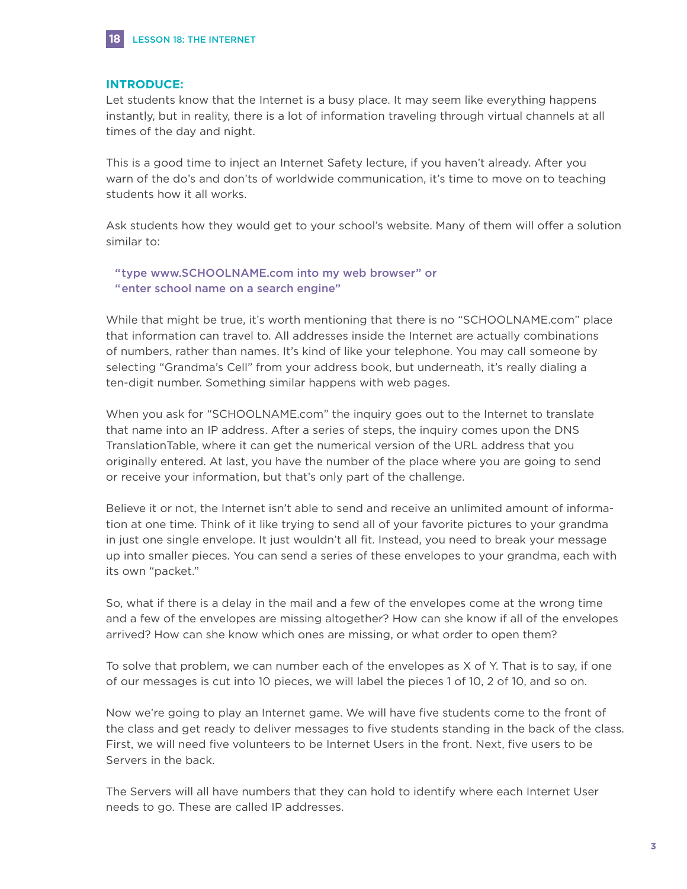

### **INTRODUCE:**

Let students know that the Internet is a busy place. It may seem like everything happens instantly, but in reality, there is a lot of information traveling through virtual channels at all times of the day and night.

This is a good time to inject an Internet Safety lecture, if you haven't already. After you warn of the do's and don'ts of worldwide communication, it's time to move on to teaching students how it all works.

Ask students how they would get to your school's website. Many of them will offer a solution similar to:

"type www.SCHOOLNAME.com into my web browser" or "enter school name on a search engine"

While that might be true, it's worth mentioning that there is no "SCHOOLNAME.com" place that information can travel to. All addresses inside the Internet are actually combinations of numbers, rather than names. It's kind of like your telephone. You may call someone by selecting "Grandma's Cell" from your address book, but underneath, it's really dialing a ten-digit number. Something similar happens with web pages.

When you ask for "SCHOOLNAME.com" the inquiry goes out to the Internet to translate that name into an IP address. After a series of steps, the inquiry comes upon the DNS TranslationTable, where it can get the numerical version of the URL address that you originally entered. At last, you have the number of the place where you are going to send or receive your information, but that's only part of the challenge.

Believe it or not, the Internet isn't able to send and receive an unlimited amount of information at one time. Think of it like trying to send all of your favorite pictures to your grandma in just one single envelope. It just wouldn't all fit. Instead, you need to break your message up into smaller pieces. You can send a series of these envelopes to your grandma, each with its own "packet."

So, what if there is a delay in the mail and a few of the envelopes come at the wrong time and a few of the envelopes are missing altogether? How can she know if all of the envelopes arrived? How can she know which ones are missing, or what order to open them?

To solve that problem, we can number each of the envelopes as X of Y. That is to say, if one of our messages is cut into 10 pieces, we will label the pieces 1 of 10, 2 of 10, and so on.

Now we're going to play an Internet game. We will have five students come to the front of the class and get ready to deliver messages to five students standing in the back of the class. First, we will need five volunteers to be Internet Users in the front. Next, five users to be Servers in the back.

The Servers will all have numbers that they can hold to identify where each Internet User needs to go. These are called IP addresses.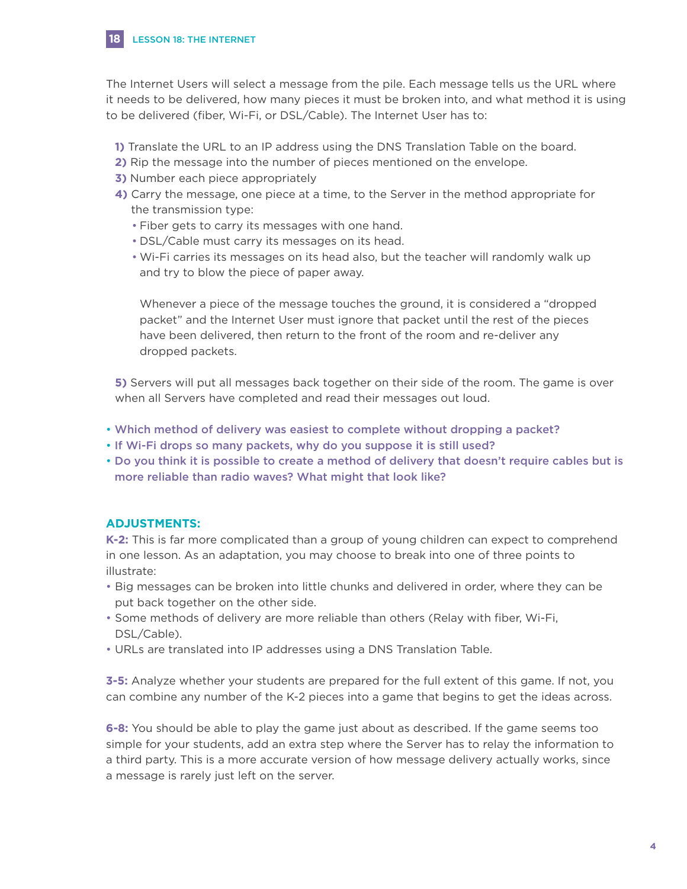

The Internet Users will select a message from the pile. Each message tells us the URL where it needs to be delivered, how many pieces it must be broken into, and what method it is using to be delivered (fiber, Wi-Fi, or DSL/Cable). The Internet User has to:

- **1)** Translate the URL to an IP address using the DNS Translation Table on the board.
- **2)** Rip the message into the number of pieces mentioned on the envelope.
- **3)** Number each piece appropriately
- **4)** Carry the message, one piece at a time, to the Server in the method appropriate for the transmission type:
	- Fiber gets to carry its messages with one hand.
	- DSL/Cable must carry its messages on its head.
	- Wi-Fi carries its messages on its head also, but the teacher will randomly walk up and try to blow the piece of paper away.

 Whenever a piece of the message touches the ground, it is considered a "dropped packet" and the Internet User must ignore that packet until the rest of the pieces have been delivered, then return to the front of the room and re-deliver any dropped packets.

 **5)** Servers will put all messages back together on their side of the room. The game is over when all Servers have completed and read their messages out loud.

- Which method of delivery was easiest to complete without dropping a packet?
- If Wi-Fi drops so many packets, why do you suppose it is still used?
- Do you think it is possible to create a method of delivery that doesn't require cables but is more reliable than radio waves? What might that look like?

### **ADJUSTMENTS:**

**K-2:** This is far more complicated than a group of young children can expect to comprehend in one lesson. As an adaptation, you may choose to break into one of three points to illustrate:

- Big messages can be broken into little chunks and delivered in order, where they can be put back together on the other side.
- Some methods of delivery are more reliable than others (Relay with fiber, Wi-Fi, DSL/Cable).
- URLs are translated into IP addresses using a DNS Translation Table.

**3-5:** Analyze whether your students are prepared for the full extent of this game. If not, you can combine any number of the K-2 pieces into a game that begins to get the ideas across.

**6-8:** You should be able to play the game just about as described. If the game seems too simple for your students, add an extra step where the Server has to relay the information to a third party. This is a more accurate version of how message delivery actually works, since a message is rarely just left on the server.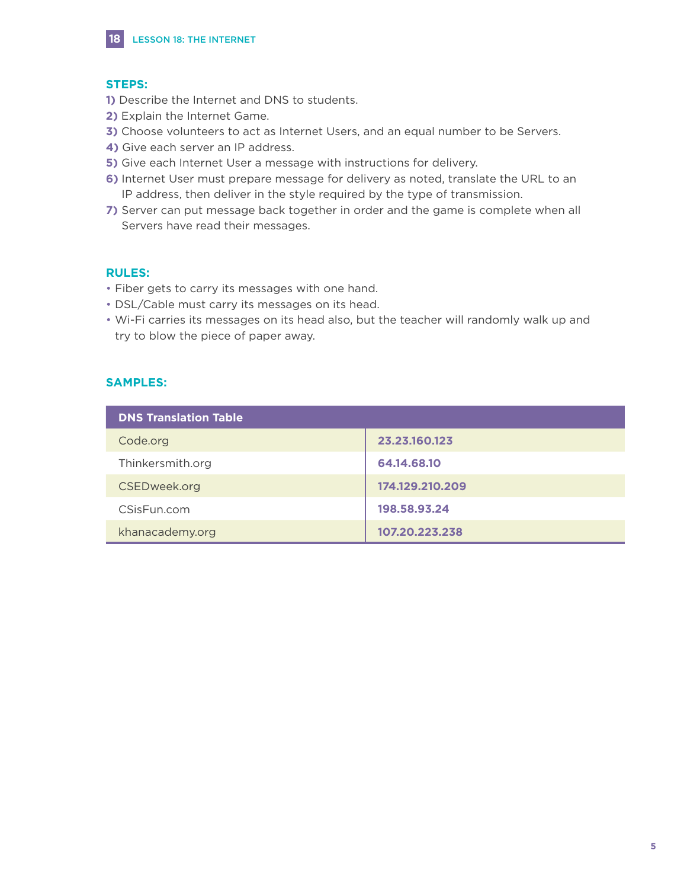

### **STEPS:**

**18**

- **1)** Describe the Internet and DNS to students.
- **2)** Explain the Internet Game.
- **3)** Choose volunteers to act as Internet Users, and an equal number to be Servers.
- **4)** Give each server an IP address.
- **5)** Give each Internet User a message with instructions for delivery.
- **6)** Internet User must prepare message for delivery as noted, translate the URL to an IP address, then deliver in the style required by the type of transmission.
- **7)** Server can put message back together in order and the game is complete when all Servers have read their messages.

### **RULES:**

- Fiber gets to carry its messages with one hand.
- DSL/Cable must carry its messages on its head.
- Wi-Fi carries its messages on its head also, but the teacher will randomly walk up and try to blow the piece of paper away.

### **SAMPLES:**

| <b>DNS Translation Table</b> |                 |
|------------------------------|-----------------|
| Code.org                     | 23.23.160.123   |
| Thinkersmith.org             | 64.14.68.10     |
| CSEDweek.org                 | 174.129.210.209 |
| CSisFun.com                  | 198.58.93.24    |
| khanacademy.org              | 107.20.223.238  |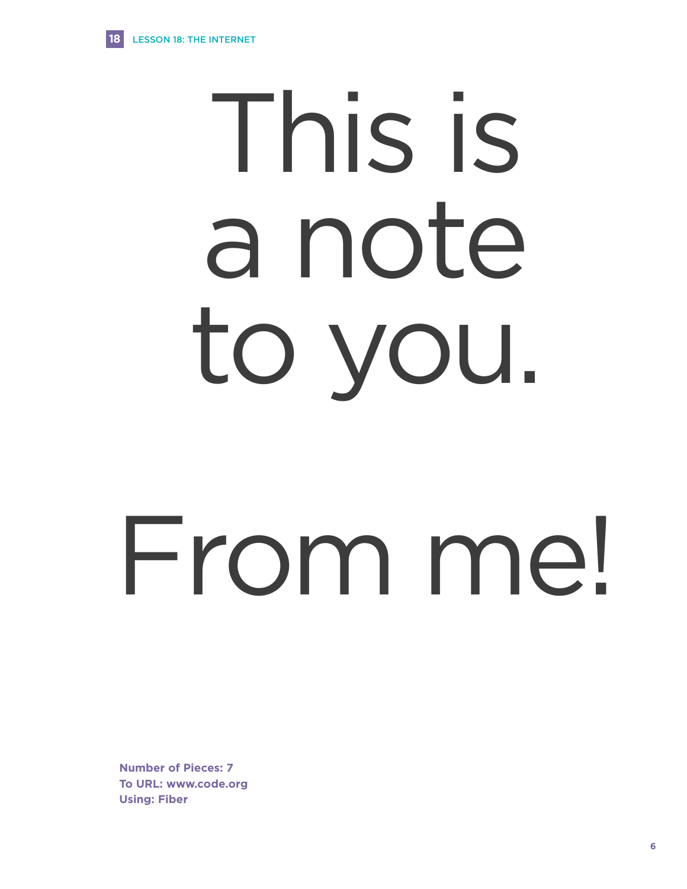**18**

### This is a note to you.

## From me!

**Number of Pieces: 7 To URL: www.code.org Using: Fiber**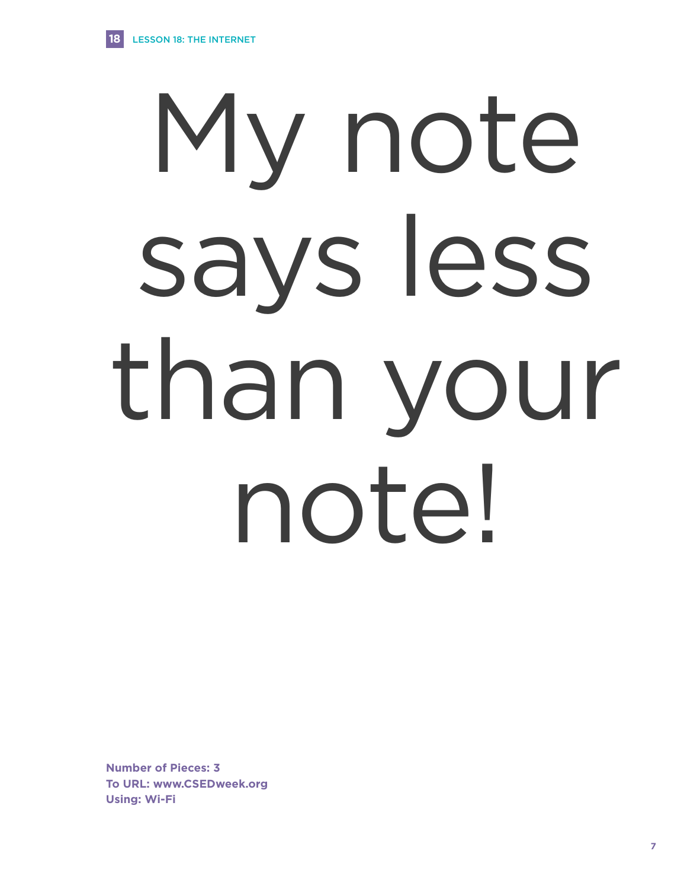**18**

# My note says less than your note!

**Number of Pieces: 3 To URL: www.CSEDweek.org Using: Wi-Fi**